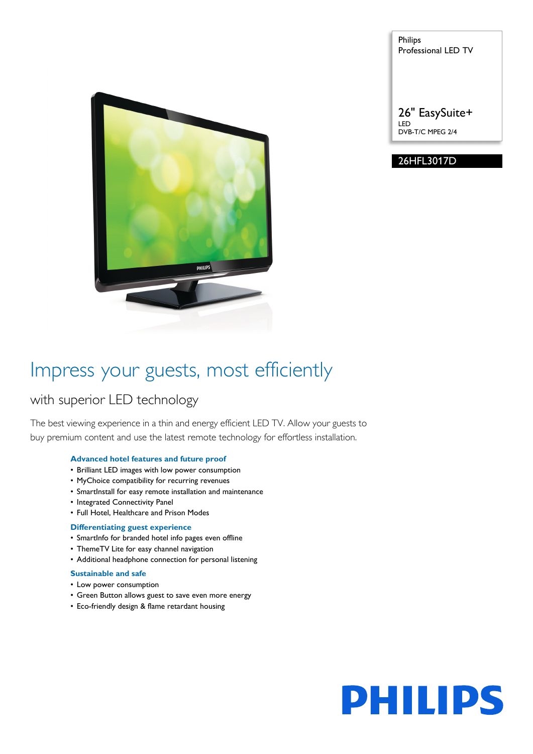

Philips Professional LED TV

26" EasySuite+ LED DVB-T/C MPEG 2/4

# 26HFL3017D

# Impress your guests, most efficiently

# with superior LED technology

The best viewing experience in a thin and energy efficient LED TV. Allow your guests to buy premium content and use the latest remote technology for effortless installation.

# **Advanced hotel features and future proof**

- Brilliant LED images with low power consumption
- MyChoice compatibility for recurring revenues
- SmartInstall for easy remote installation and maintenance
- Integrated Connectivity Panel
- Full Hotel, Healthcare and Prison Modes

# **Differentiating guest experience**

- SmartInfo for branded hotel info pages even offline
- ThemeTV Lite for easy channel navigation
- Additional headphone connection for personal listening

# **Sustainable and safe**

- Low power consumption
- Green Button allows guest to save even more energy
- Eco-friendly design & flame retardant housing

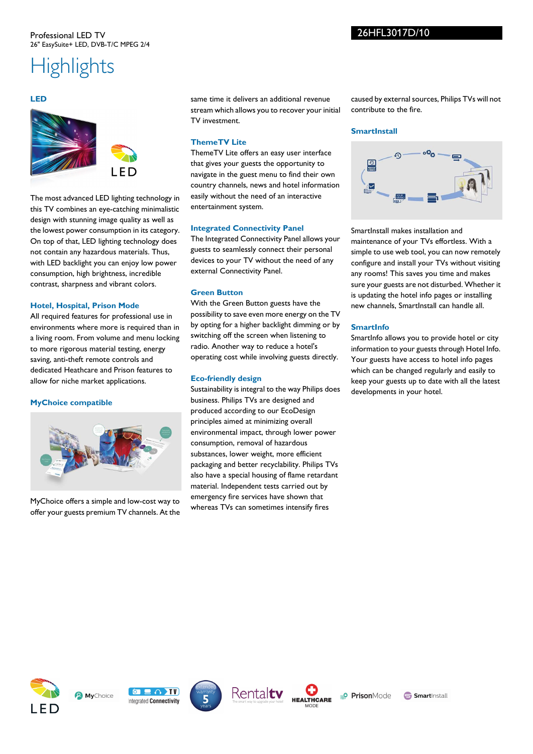#### Professional LED TV 26" EasySuite+ LED, DVB-T/C MPEG 2/4

# **Highlights**

#### **LED**



The most advanced LED lighting technology in this TV combines an eye-catching minimalistic design with stunning image quality as well as the lowest power consumption in its category. On top of that, LED lighting technology does not contain any hazardous materials. Thus, with LED backlight you can enjoy low power consumption, high brightness, incredible contrast, sharpness and vibrant colors.

#### **Hotel, Hospital, Prison Mode**

All required features for professional use in environments where more is required than in a living room. From volume and menu locking to more rigorous material testing, energy saving, anti-theft remote controls and dedicated Heathcare and Prison features to allow for niche market applications.

#### **MyChoice compatible**



MyChoice offers a simple and low-cost way to offer your guests premium TV channels. At the same time it delivers an additional revenue stream which allows you to recover your initial TV investment.

#### **ThemeTV Lite**

ThemeTV Lite offers an easy user interface that gives your guests the opportunity to navigate in the guest menu to find their own country channels, news and hotel information easily without the need of an interactive entertainment system.

#### **Integrated Connectivity Panel**

The Integrated Connectivity Panel allows your guests to seamlessly connect their personal devices to your TV without the need of any external Connectivity Panel.

#### **Green Button**

With the Green Button guests have the possibility to save even more energy on the TV by opting for a higher backlight dimming or by switching off the screen when listening to radio. Another way to reduce a hotel's operating cost while involving guests directly.

#### **Eco-friendly design**

Sustainability is integral to the way Philips does business. Philips TVs are designed and produced according to our EcoDesign principles aimed at minimizing overall environmental impact, through lower power consumption, removal of hazardous substances, lower weight, more efficient packaging and better recyclability. Philips TVs also have a special housing of flame retardant material. Independent tests carried out by emergency fire services have shown that whereas TVs can sometimes intensify fires

caused by external sources, Philips TVs will not contribute to the fire.

#### **SmartInstall**



SmartInstall makes installation and maintenance of your TVs effortless. With a simple to use web tool, you can now remotely configure and install your TVs without visiting any rooms! This saves you time and makes sure your guests are not disturbed. Whether it is updating the hotel info pages or installing new channels, SmartInstall can handle all.

#### **SmartInfo**

SmartInfo allows you to provide hotel or city information to your guests through Hotel Info. Your guests have access to hotel info pages which can be changed regularly and easily to keep your guests up to date with all the latest developments in your hotel.











**Smart**Install

26HFL3017D/10